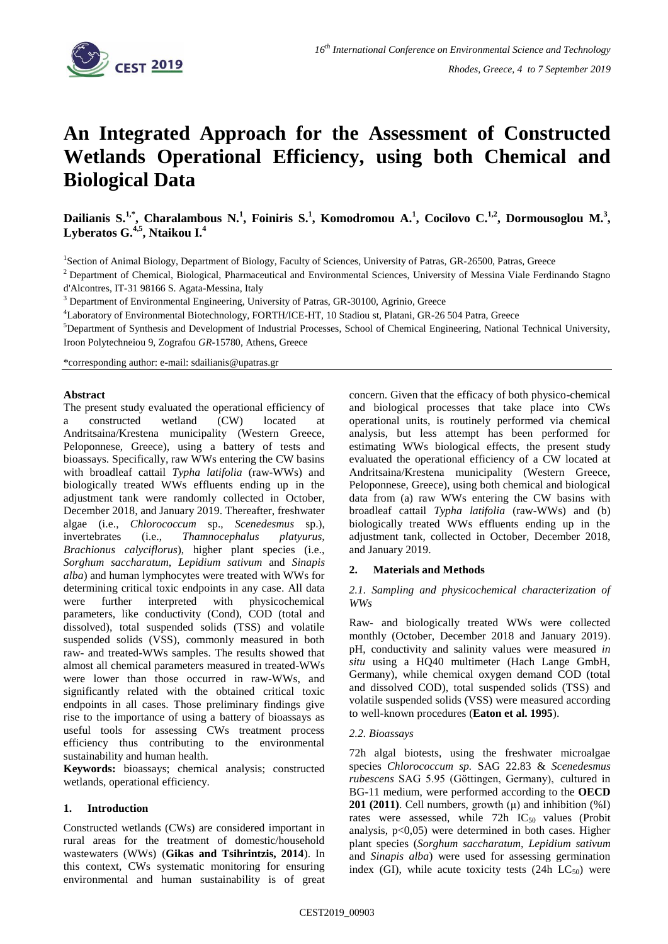

# **An Integrated Approach for the Assessment of Constructed Wetlands Operational Efficiency, using both Chemical and Biological Data**

Dailianis S.<sup>1,\*</sup>, Charalambous N.<sup>1</sup>, Foiniris S.<sup>1</sup>, Komodromou A.<sup>1</sup>, Cocilovo C.<sup>1,2</sup>, Dormousoglou M.<sup>3</sup>, **Lyberatos G.4,5 , Ntaikou I.<sup>4</sup>**

<sup>1</sup>Section of Animal Biology, Department of Biology, Faculty of Sciences, University of Patras, GR-26500, Patras, Greece

<sup>2</sup> Department of Chemical, Biological, Pharmaceutical and Environmental Sciences, University of Messina Viale Ferdinando Stagno d'Alcontres, IT-31 98166 S. Agata-Messina, Italy

<sup>3</sup> Department of Environmental Engineering, University of Patras, GR-30100, Agrinio, Greece

<sup>4</sup>Laboratory of Environmental Biotechnology, FORTH/ICE-HT, 10 Stadiou st, Platani, GR-26 504 Patra, Greece

<sup>5</sup>Department of Synthesis and Development of Industrial Processes, School of Chemical Engineering, National Technical University, Iroon Polytechneiou 9, Zografou *GR-*15780, Athens, Greece

\*corresponding author: e-mail: sdailianis@upatras.gr

#### **Abstract**

The present study evaluated the operational efficiency of a constructed wetland (CW) located at Andritsaina/Krestena municipality (Western Greece, Peloponnese, Greece), using a battery of tests and bioassays. Specifically, raw WWs entering the CW basins with broadleaf cattail *Typha latifolia* (raw-WWs) and biologically treated WWs effluents ending up in the adjustment tank were randomly collected in October, December 2018, and January 2019. Thereafter, freshwater algae (i.e., *Chlorococcum* sp., *Scenedesmus* sp.), invertebrates (i.e., *Thamnocephalus platyurus, Brachionus calyciflorus*), higher plant species (i.e., *Sorghum saccharatum, Lepidium sativum* and *Sinapis alba*) and human lymphocytes were treated with WWs for determining critical toxic endpoints in any case. All data were further interpreted with physicochemical parameters, like conductivity (Cond), COD (total and dissolved), total suspended solids (TSS) and volatile suspended solids (VSS), commonly measured in both raw- and treated-WWs samples. The results showed that almost all chemical parameters measured in treated-WWs were lower than those occurred in raw-WWs, and significantly related with the obtained critical toxic endpoints in all cases. Those preliminary findings give rise to the importance of using a battery of bioassays as useful tools for assessing CWs treatment process efficiency thus contributing to the environmental sustainability and human health.

**Keywords:** bioassays; chemical analysis; constructed wetlands, operational efficiency.

#### **1. Introduction**

Constructed wetlands (CWs) are considered important in rural areas for the treatment of domestic/household wastewaters (WWs) (**Gikas and Tsihrintzis, 2014**). In this context, CWs systematic monitoring for ensuring environmental and human sustainability is of great concern. Given that the efficacy of both physico-chemical and biological processes that take place into CWs operational units, is routinely performed via chemical analysis, but less attempt has been performed for estimating WWs biological effects, the present study evaluated the operational efficiency of a CW located at Andritsaina/Krestena municipality (Western Greece, Peloponnese, Greece), using both chemical and biological data from (a) raw WWs entering the CW basins with broadleaf cattail *Typha latifolia* (raw-WWs) and (b) biologically treated WWs effluents ending up in the adjustment tank, collected in October, December 2018, and January 2019.

### **2. Materials and Methods**

*2.1. Sampling and physicochemical characterization of WWs*

Raw- and biologically treated WWs were collected monthly (October, December 2018 and January 2019). pH, conductivity and salinity values were measured *in situ* using a HQ40 multimeter (Hach Lange GmbH, Germany), while chemical oxygen demand COD (total and dissolved COD), total suspended solids (TSS) and volatile suspended solids (VSS) were measured according to well-known procedures (**Eaton et al. 1995**).

#### *2.2. Bioassays*

72h algal biotests, using the freshwater microalgae species *Chlorococcum sp.* SAG 22.83 & *Scenedesmus rubescens* SAG 5.95 (Göttingen, Germany), cultured in BG-11 medium, were performed according to the **OECD 201 (2011)**. Cell numbers, growth  $(\mu)$  and inhibition  $(\%I)$ rates were assessed, while  $72h$  IC<sub>50</sub> values (Probit analysis, p<0,05) were determined in both cases. Higher plant species (*Sorghum saccharatum, Lepidium sativum*  and *Sinapis alba*) were used for assessing germination index (GI), while acute toxicity tests (24h  $LC_{50}$ ) were